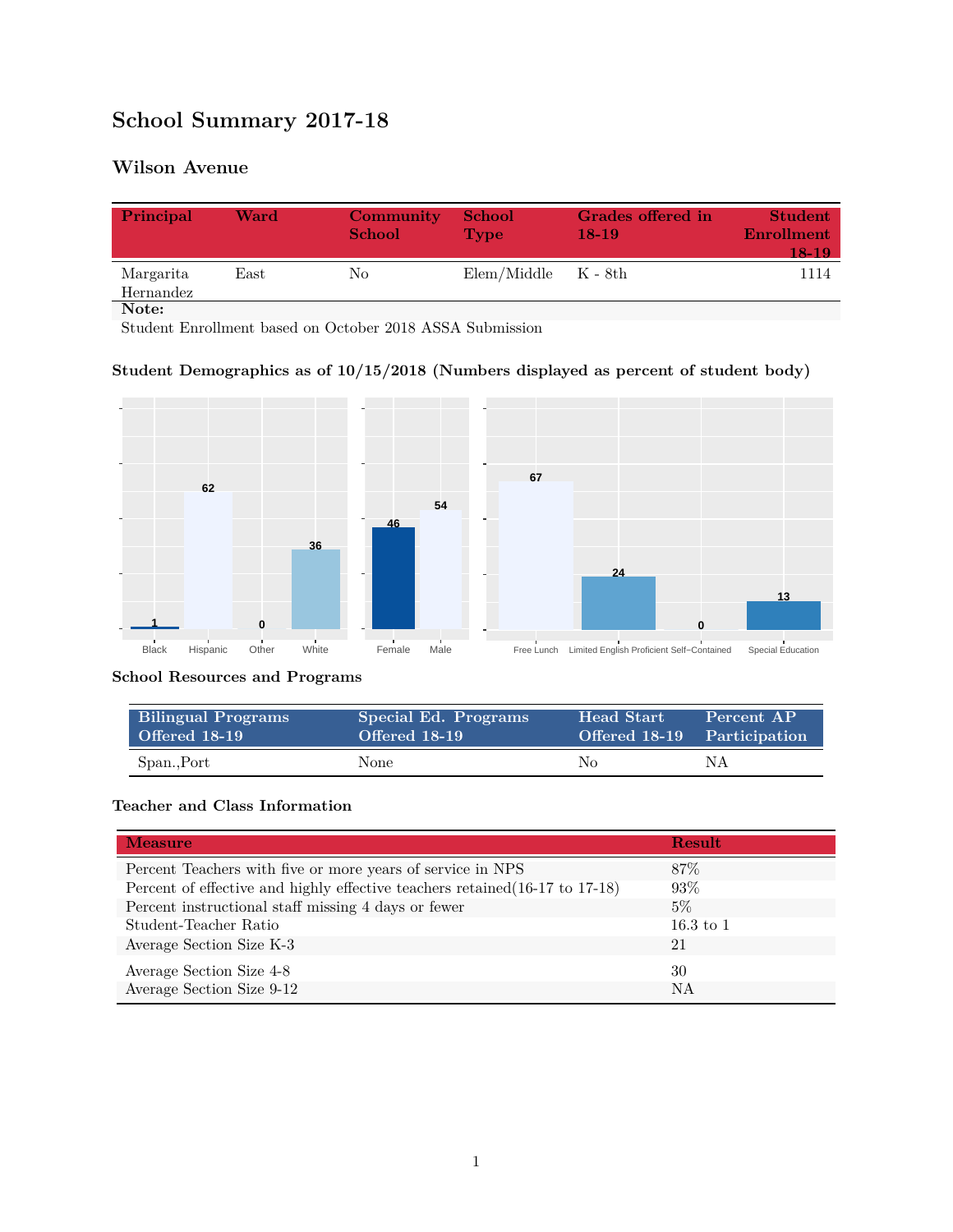# **School Summary 2017-18**

# **Wilson Avenue**

| Principal              | Ward | Community<br><b>School</b> | <b>School</b><br>Type   | Grades offered in<br>$18-19$ | <b>Student</b><br>Enrollment<br>18-19 |
|------------------------|------|----------------------------|-------------------------|------------------------------|---------------------------------------|
| Margarita<br>Hernandez | East | No                         | $Elem/Middle$ $K - 8th$ |                              | 1114                                  |
| Note:                  |      |                            |                         |                              |                                       |

Student Enrollment based on October 2018 ASSA Submission

## **Student Demographics as of 10/15/2018 (Numbers displayed as percent of student body)**



#### **School Resources and Programs**

| <b>Bilingual Programs</b> | Special Ed. Programs | <b>Head Start</b>           | Percent AP |
|---------------------------|----------------------|-----------------------------|------------|
| Offered 18-19             | Offered 18-19        | Offered 18-19 Participation |            |
| Span., Port               | None                 | No.                         | NΑ         |

## **Teacher and Class Information**

| <b>Measure</b>                                                               | <b>Result</b>        |
|------------------------------------------------------------------------------|----------------------|
| Percent Teachers with five or more years of service in NPS                   | 87\%                 |
| Percent of effective and highly effective teachers retained (16-17 to 17-18) | 93\%                 |
| Percent instructional staff missing 4 days or fewer                          | $5\%$                |
| Student-Teacher Ratio                                                        | $16.3 \text{ to } 1$ |
| Average Section Size K-3                                                     | 21                   |
| Average Section Size 4-8                                                     | 30                   |
| Average Section Size 9-12                                                    | NA                   |